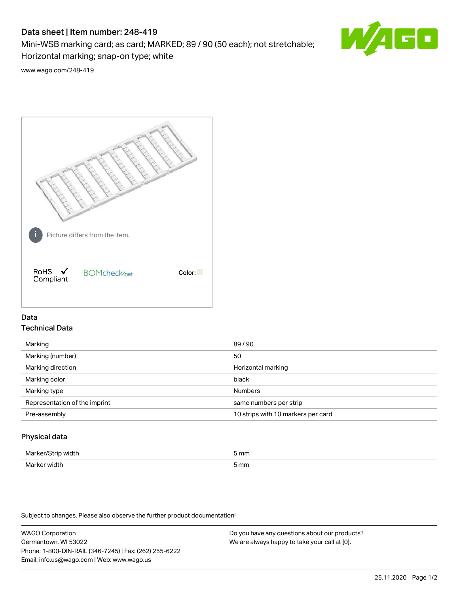# Data sheet | Item number: 248-419

Mini-WSB marking card; as card; MARKED; 89 / 90 (50 each); not stretchable; Horizontal marking; snap-on type; white



[www.wago.com/248-419](http://www.wago.com/248-419)



## Data Technical Data

| Marking                       | 89/90                              |
|-------------------------------|------------------------------------|
| Marking (number)              | 50                                 |
| Marking direction             | Horizontal marking                 |
| Marking color                 | black                              |
| Marking type                  | <b>Numbers</b>                     |
| Representation of the imprint | same numbers per strip             |
| Pre-assembly                  | 10 strips with 10 markers per card |
|                               |                                    |

## Physical data

| Marker<br><b>WINTI</b><br>י | 5 mm |
|-----------------------------|------|
| Marker width                | 5 mm |

Subject to changes. Please also observe the further product documentation!

WAGO Corporation Germantown, WI 53022 Phone: 1-800-DIN-RAIL (346-7245) | Fax: (262) 255-6222 Email: info.us@wago.com | Web: www.wago.us Do you have any questions about our products? We are always happy to take your call at {0}.

25.11.2020 Page 1/2